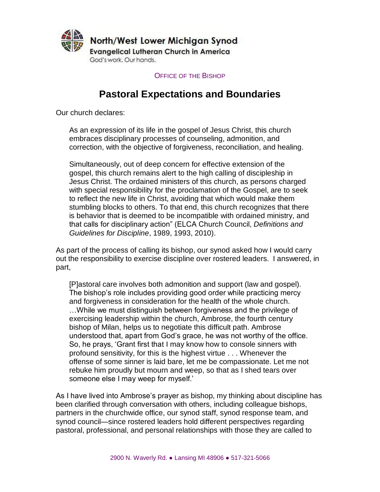

OFFICE OF THE BISHOP

# **Pastoral Expectations and Boundaries**

Our church declares:

As an expression of its life in the gospel of Jesus Christ, this church embraces disciplinary processes of counseling, admonition, and correction, with the objective of forgiveness, reconciliation, and healing.

Simultaneously, out of deep concern for effective extension of the gospel, this church remains alert to the high calling of discipleship in Jesus Christ. The ordained ministers of this church, as persons charged with special responsibility for the proclamation of the Gospel, are to seek to reflect the new life in Christ, avoiding that which would make them stumbling blocks to others. To that end, this church recognizes that there is behavior that is deemed to be incompatible with ordained ministry, and that calls for disciplinary action" (ELCA Church Council, *Definitions and Guidelines for Discipline*, 1989, 1993, 2010).

As part of the process of calling its bishop, our synod asked how I would carry out the responsibility to exercise discipline over rostered leaders. I answered, in part,

[P]astoral care involves both admonition and support (law and gospel). The bishop's role includes providing good order while practicing mercy and forgiveness in consideration for the health of the whole church. …While we must distinguish between forgiveness and the privilege of exercising leadership within the church, Ambrose, the fourth century bishop of Milan, helps us to negotiate this difficult path. Ambrose understood that, apart from God's grace, he was not worthy of the office. So, he prays, 'Grant first that I may know how to console sinners with profound sensitivity, for this is the highest virtue . . . Whenever the offense of some sinner is laid bare, let me be compassionate. Let me not rebuke him proudly but mourn and weep, so that as I shed tears over someone else I may weep for myself.'

As I have lived into Ambrose's prayer as bishop, my thinking about discipline has been clarified through conversation with others, including colleague bishops, partners in the churchwide office, our synod staff, synod response team, and synod council—since rostered leaders hold different perspectives regarding pastoral, professional, and personal relationships with those they are called to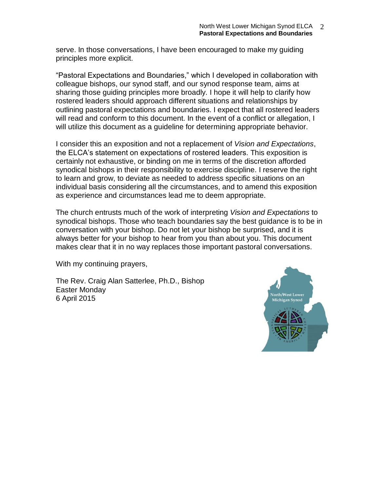serve. In those conversations, I have been encouraged to make my guiding principles more explicit.

"Pastoral Expectations and Boundaries," which I developed in collaboration with colleague bishops, our synod staff, and our synod response team, aims at sharing those guiding principles more broadly. I hope it will help to clarify how rostered leaders should approach different situations and relationships by outlining pastoral expectations and boundaries. I expect that all rostered leaders will read and conform to this document. In the event of a conflict or allegation, I will utilize this document as a guideline for determining appropriate behavior.

I consider this an exposition and not a replacement of *Vision and Expectations*, the ELCA's statement on expectations of rostered leaders. This exposition is certainly not exhaustive, or binding on me in terms of the discretion afforded synodical bishops in their responsibility to exercise discipline. I reserve the right to learn and grow, to deviate as needed to address specific situations on an individual basis considering all the circumstances, and to amend this exposition as experience and circumstances lead me to deem appropriate.

The church entrusts much of the work of interpreting *Vision and Expectations* to synodical bishops. Those who teach boundaries say the best guidance is to be in conversation with your bishop. Do not let your bishop be surprised, and it is always better for your bishop to hear from you than about you. This document makes clear that it in no way replaces those important pastoral conversations.

With my continuing prayers,

The Rev. Craig Alan Satterlee, Ph.D., Bishop Easter Monday 6 April 2015

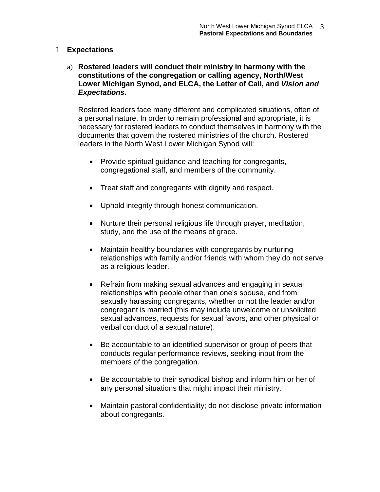#### I **Expectations**

a) **Rostered leaders will conduct their ministry in harmony with the constitutions of the congregation or calling agency, North/West Lower Michigan Synod, and ELCA, the Letter of Call, and** *Vision and Expectations***.**

Rostered leaders face many different and complicated situations, often of a personal nature. In order to remain professional and appropriate, it is necessary for rostered leaders to conduct themselves in harmony with the documents that govern the rostered ministries of the church. Rostered leaders in the North West Lower Michigan Synod will:

- Provide spiritual guidance and teaching for congregants, congregational staff, and members of the community.
- Treat staff and congregants with dignity and respect.
- Uphold integrity through honest communication.
- Nurture their personal religious life through prayer, meditation, study, and the use of the means of grace.
- Maintain healthy boundaries with congregants by nurturing relationships with family and/or friends with whom they do not serve as a religious leader.
- Refrain from making sexual advances and engaging in sexual relationships with people other than one's spouse, and from sexually harassing congregants, whether or not the leader and/or congregant is married (this may include unwelcome or unsolicited sexual advances, requests for sexual favors, and other physical or verbal conduct of a sexual nature).
- Be accountable to an identified supervisor or group of peers that conducts regular performance reviews, seeking input from the members of the congregation.
- Be accountable to their synodical bishop and inform him or her of any personal situations that might impact their ministry.
- Maintain pastoral confidentiality; do not disclose private information about congregants.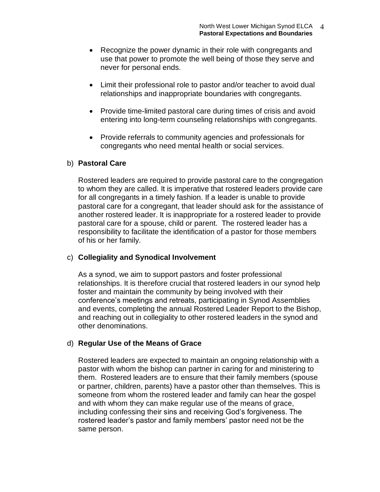- Recognize the power dynamic in their role with congregants and use that power to promote the well being of those they serve and never for personal ends.
- Limit their professional role to pastor and/or teacher to avoid dual relationships and inappropriate boundaries with congregants.
- Provide time-limited pastoral care during times of crisis and avoid entering into long-term counseling relationships with congregants.
- Provide referrals to community agencies and professionals for congregants who need mental health or social services.

## b) **Pastoral Care**

Rostered leaders are required to provide pastoral care to the congregation to whom they are called. It is imperative that rostered leaders provide care for all congregants in a timely fashion. If a leader is unable to provide pastoral care for a congregant, that leader should ask for the assistance of another rostered leader. It is inappropriate for a rostered leader to provide pastoral care for a spouse, child or parent. The rostered leader has a responsibility to facilitate the identification of a pastor for those members of his or her family.

## c) **Collegiality and Synodical Involvement**

As a synod, we aim to support pastors and foster professional relationships. It is therefore crucial that rostered leaders in our synod help foster and maintain the community by being involved with their conference's meetings and retreats, participating in Synod Assemblies and events, completing the annual Rostered Leader Report to the Bishop, and reaching out in collegiality to other rostered leaders in the synod and other denominations.

## d) **Regular Use of the Means of Grace**

Rostered leaders are expected to maintain an ongoing relationship with a pastor with whom the bishop can partner in caring for and ministering to them. Rostered leaders are to ensure that their family members (spouse or partner, children, parents) have a pastor other than themselves. This is someone from whom the rostered leader and family can hear the gospel and with whom they can make regular use of the means of grace, including confessing their sins and receiving God's forgiveness. The rostered leader's pastor and family members' pastor need not be the same person.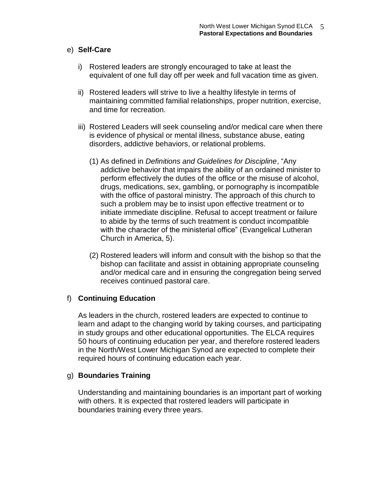#### e) **Self-Care**

- i) Rostered leaders are strongly encouraged to take at least the equivalent of one full day off per week and full vacation time as given.
- ii) Rostered leaders will strive to live a healthy lifestyle in terms of maintaining committed familial relationships, proper nutrition, exercise, and time for recreation.
- iii) Rostered Leaders will seek counseling and/or medical care when there is evidence of physical or mental illness, substance abuse, eating disorders, addictive behaviors, or relational problems.
	- (1) As defined in *Definitions and Guidelines for Discipline*, "Any addictive behavior that impairs the ability of an ordained minister to perform effectively the duties of the office or the misuse of alcohol, drugs, medications, sex, gambling, or pornography is incompatible with the office of pastoral ministry. The approach of this church to such a problem may be to insist upon effective treatment or to initiate immediate discipline. Refusal to accept treatment or failure to abide by the terms of such treatment is conduct incompatible with the character of the ministerial office" (Evangelical Lutheran Church in America, 5).
	- (2) Rostered leaders will inform and consult with the bishop so that the bishop can facilitate and assist in obtaining appropriate counseling and/or medical care and in ensuring the congregation being served receives continued pastoral care.

## f) **Continuing Education**

As leaders in the church, rostered leaders are expected to continue to learn and adapt to the changing world by taking courses, and participating in study groups and other educational opportunities. The ELCA requires 50 hours of continuing education per year, and therefore rostered leaders in the North/West Lower Michigan Synod are expected to complete their required hours of continuing education each year.

## g) **Boundaries Training**

Understanding and maintaining boundaries is an important part of working with others. It is expected that rostered leaders will participate in boundaries training every three years.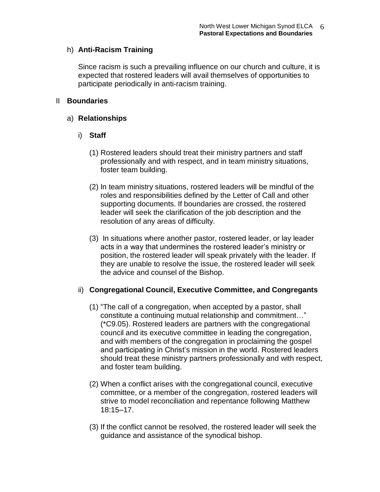## h) **Anti-Racism Training**

Since racism is such a prevailing influence on our church and culture, it is expected that rostered leaders will avail themselves of opportunities to participate periodically in anti-racism training.

#### II **Boundaries**

#### a) **Relationships**

## i) **Staff**

- (1) Rostered leaders should treat their ministry partners and staff professionally and with respect, and in team ministry situations, foster team building.
- (2) In team ministry situations, rostered leaders will be mindful of the roles and responsibilities defined by the Letter of Call and other supporting documents. If boundaries are crossed, the rostered leader will seek the clarification of the job description and the resolution of any areas of difficulty.
- (3) In situations where another pastor, rostered leader, or lay leader acts in a way that undermines the rostered leader's ministry or position, the rostered leader will speak privately with the leader. If they are unable to resolve the issue, the rostered leader will seek the advice and counsel of the Bishop.

## ii) **Congregational Council, Executive Committee, and Congregants**

- (1) "The call of a congregation, when accepted by a pastor, shall constitute a continuing mutual relationship and commitment…" (\*C9.05). Rostered leaders are partners with the congregational council and its executive committee in leading the congregation, and with members of the congregation in proclaiming the gospel and participating in Christ's mission in the world. Rostered leaders should treat these ministry partners professionally and with respect, and foster team building.
- (2) When a conflict arises with the congregational council, executive committee, or a member of the congregation, rostered leaders will strive to model reconciliation and repentance following Matthew 18:15–17.
- (3) If the conflict cannot be resolved, the rostered leader will seek the guidance and assistance of the synodical bishop.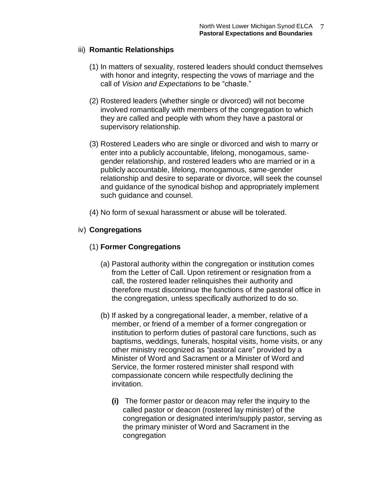## iii) **Romantic Relationships**

- (1) In matters of sexuality, rostered leaders should conduct themselves with honor and integrity, respecting the vows of marriage and the call of *Vision and Expectations* to be "chaste."
- (2) Rostered leaders (whether single or divorced) will not become involved romantically with members of the congregation to which they are called and people with whom they have a pastoral or supervisory relationship.
- (3) Rostered Leaders who are single or divorced and wish to marry or enter into a publicly accountable, lifelong, monogamous, samegender relationship, and rostered leaders who are married or in a publicly accountable, lifelong, monogamous, same-gender relationship and desire to separate or divorce, will seek the counsel and guidance of the synodical bishop and appropriately implement such guidance and counsel.
- (4) No form of sexual harassment or abuse will be tolerated.

# iv) **Congregations**

# (1) **Former Congregations**

- (a) Pastoral authority within the congregation or institution comes from the Letter of Call. Upon retirement or resignation from a call, the rostered leader relinquishes their authority and therefore must discontinue the functions of the pastoral office in the congregation, unless specifically authorized to do so.
- (b) If asked by a congregational leader, a member, relative of a member, or friend of a member of a former congregation or institution to perform duties of pastoral care functions, such as baptisms, weddings, funerals, hospital visits, home visits, or any other ministry recognized as "pastoral care" provided by a Minister of Word and Sacrament or a Minister of Word and Service, the former rostered minister shall respond with compassionate concern while respectfully declining the invitation.
	- **(i)** The former pastor or deacon may refer the inquiry to the called pastor or deacon (rostered lay minister) of the congregation or designated interim/supply pastor, serving as the primary minister of Word and Sacrament in the congregation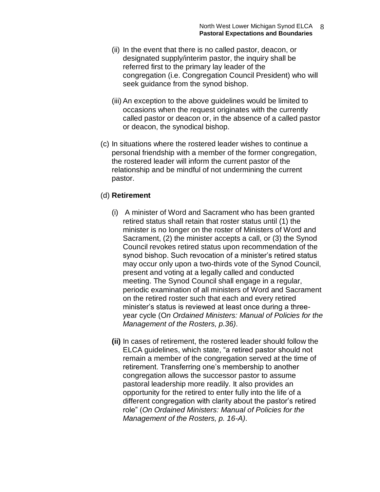- (ii) In the event that there is no called pastor, deacon, or designated supply/interim pastor, the inquiry shall be referred first to the primary lay leader of the congregation (i.e. Congregation Council President) who will seek guidance from the synod bishop.
- (iii) An exception to the above guidelines would be limited to occasions when the request originates with the currently called pastor or deacon or, in the absence of a called pastor or deacon, the synodical bishop.
- (c) In situations where the rostered leader wishes to continue a personal friendship with a member of the former congregation, the rostered leader will inform the current pastor of the relationship and be mindful of not undermining the current pastor.

#### (d) **Retirement**

- (i) A minister of Word and Sacrament who has been granted retired status shall retain that roster status until (1) the minister is no longer on the roster of Ministers of Word and Sacrament, (2) the minister accepts a call, or (3) the Synod Council revokes retired status upon recommendation of the synod bishop. Such revocation of a minister's retired status may occur only upon a two-thirds vote of the Synod Council, present and voting at a legally called and conducted meeting. The Synod Council shall engage in a regular, periodic examination of all ministers of Word and Sacrament on the retired roster such that each and every retired minister's status is reviewed at least once during a threeyear cycle (O*n Ordained Ministers: Manual of Policies for the Management of the Rosters, p.36)*.
- **(ii)** In cases of retirement, the rostered leader should follow the ELCA guidelines, which state, "a retired pastor should not remain a member of the congregation served at the time of retirement. Transferring one's membership to another congregation allows the successor pastor to assume pastoral leadership more readily. It also provides an opportunity for the retired to enter fully into the life of a different congregation with clarity about the pastor's retired role" (*On Ordained Ministers: Manual of Policies for the Management of the Rosters, p. 16-A)*.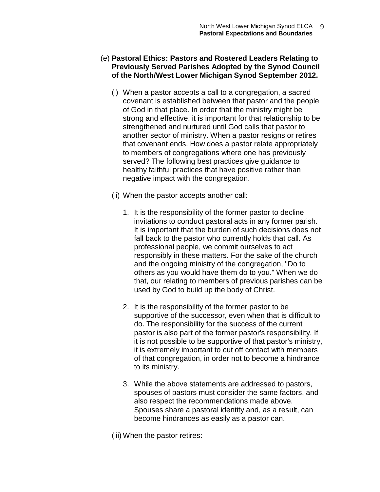#### (e) **Pastoral Ethics: Pastors and Rostered Leaders Relating to Previously Served Parishes Adopted by the Synod Council of the North/West Lower Michigan Synod September 2012.**

- (i) When a pastor accepts a call to a congregation, a sacred covenant is established between that pastor and the people of God in that place. In order that the ministry might be strong and effective, it is important for that relationship to be strengthened and nurtured until God calls that pastor to another sector of ministry. When a pastor resigns or retires that covenant ends. How does a pastor relate appropriately to members of congregations where one has previously served? The following best practices give guidance to healthy faithful practices that have positive rather than negative impact with the congregation.
- (ii) When the pastor accepts another call:
	- 1. It is the responsibility of the former pastor to decline invitations to conduct pastoral acts in any former parish. It is important that the burden of such decisions does not fall back to the pastor who currently holds that call. As professional people, we commit ourselves to act responsibly in these matters. For the sake of the church and the ongoing ministry of the congregation, "Do to others as you would have them do to you." When we do that, our relating to members of previous parishes can be used by God to build up the body of Christ.
	- 2. It is the responsibility of the former pastor to be supportive of the successor, even when that is difficult to do. The responsibility for the success of the current pastor is also part of the former pastor's responsibility. If it is not possible to be supportive of that pastor's ministry, it is extremely important to cut off contact with members of that congregation, in order not to become a hindrance to its ministry.
	- 3. While the above statements are addressed to pastors, spouses of pastors must consider the same factors, and also respect the recommendations made above. Spouses share a pastoral identity and, as a result, can become hindrances as easily as a pastor can.
- (iii) When the pastor retires: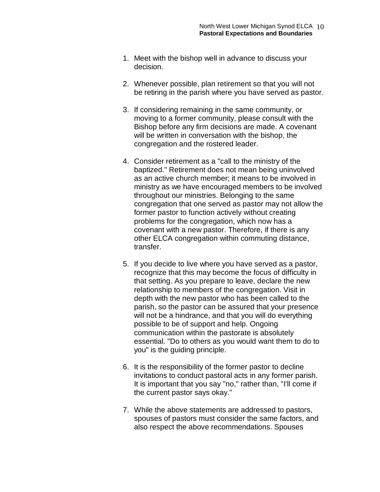- 1. Meet with the bishop well in advance to discuss your decision.
- 2. Whenever possible, plan retirement so that you will not be retiring in the parish where you have served as pastor.
- 3. If considering remaining in the same community, or moving to a former community, please consult with the Bishop before any firm decisions are made. A covenant will be written in conversation with the bishop, the congregation and the rostered leader.
- 4. Consider retirement as a "call to the ministry of the baptized." Retirement does not mean being uninvolved as an active church member; it means to be involved in ministry as we have encouraged members to be involved throughout our ministries. Belonging to the same congregation that one served as pastor may not allow the former pastor to function actively without creating problems for the congregation, which now has a covenant with a new pastor. Therefore, if there is any other ELCA congregation within commuting distance, transfer.
- 5. If you decide to live where you have served as a pastor, recognize that this may become the focus of difficulty in that setting. As you prepare to leave, declare the new relationship to members of the congregation. Visit in depth with the new pastor who has been called to the parish, so the pastor can be assured that your presence will not be a hindrance, and that you will do everything possible to be of support and help. Ongoing communication within the pastorate is absolutely essential. "Do to others as you would want them to do to you" is the guiding principle.
- 6. It is the responsibility of the former pastor to decline invitations to conduct pastoral acts in any former parish. It is important that you say "no," rather than, "I'll come if the current pastor says okay."
- 7. While the above statements are addressed to pastors, spouses of pastors must consider the same factors, and also respect the above recommendations. Spouses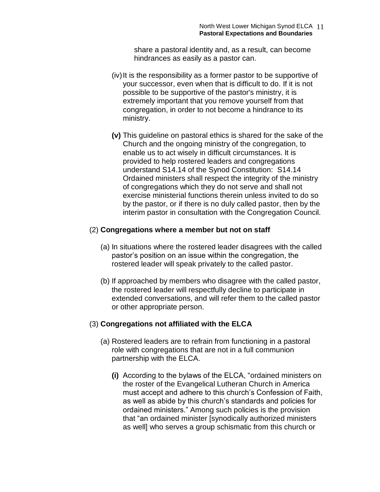share a pastoral identity and, as a result, can become hindrances as easily as a pastor can.

- (iv)It is the responsibility as a former pastor to be supportive of your successor, even when that is difficult to do. If it is not possible to be supportive of the pastor's ministry, it is extremely important that you remove yourself from that congregation, in order to not become a hindrance to its ministry.
- **(v)** This guideline on pastoral ethics is shared for the sake of the Church and the ongoing ministry of the congregation, to enable us to act wisely in difficult circumstances. It is provided to help rostered leaders and congregations understand S14.14 of the Synod Constitution: S14.14 Ordained ministers shall respect the integrity of the ministry of congregations which they do not serve and shall not exercise ministerial functions therein unless invited to do so by the pastor, or if there is no duly called pastor, then by the interim pastor in consultation with the Congregation Council.

#### (2) **Congregations where a member but not on staff**

- (a) In situations where the rostered leader disagrees with the called pastor's position on an issue within the congregation, the rostered leader will speak privately to the called pastor.
- (b) If approached by members who disagree with the called pastor, the rostered leader will respectfully decline to participate in extended conversations, and will refer them to the called pastor or other appropriate person.

#### (3) **Congregations not affiliated with the ELCA**

- (a) Rostered leaders are to refrain from functioning in a pastoral role with congregations that are not in a full communion partnership with the ELCA.
	- **(i)** According to the bylaws of the ELCA, "ordained ministers on the roster of the Evangelical Lutheran Church in America must accept and adhere to this church's Confession of Faith, as well as abide by this church's standards and policies for ordained ministers." Among such policies is the provision that "an ordained minister [synodically authorized ministers as well] who serves a group schismatic from this church or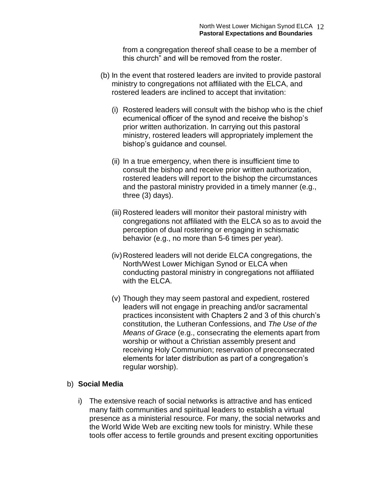from a congregation thereof shall cease to be a member of this church" and will be removed from the roster.

- (b) In the event that rostered leaders are invited to provide pastoral ministry to congregations not affiliated with the ELCA, and rostered leaders are inclined to accept that invitation:
	- (i) Rostered leaders will consult with the bishop who is the chief ecumenical officer of the synod and receive the bishop's prior written authorization. In carrying out this pastoral ministry, rostered leaders will appropriately implement the bishop's guidance and counsel.
	- (ii) In a true emergency, when there is insufficient time to consult the bishop and receive prior written authorization, rostered leaders will report to the bishop the circumstances and the pastoral ministry provided in a timely manner (e.g., three (3) days).
	- (iii) Rostered leaders will monitor their pastoral ministry with congregations not affiliated with the ELCA so as to avoid the perception of dual rostering or engaging in schismatic behavior (e.g., no more than 5-6 times per year).
	- (iv)Rostered leaders will not deride ELCA congregations, the North/West Lower Michigan Synod or ELCA when conducting pastoral ministry in congregations not affiliated with the ELCA.
	- (v) Though they may seem pastoral and expedient, rostered leaders will not engage in preaching and/or sacramental practices inconsistent with Chapters 2 and 3 of this church's constitution, the Lutheran Confessions, and *The Use of the Means of Grace* (e.g., consecrating the elements apart from worship or without a Christian assembly present and receiving Holy Communion; reservation of preconsecrated elements for later distribution as part of a congregation's regular worship).

## b) **Social Media**

i) The extensive reach of social networks is attractive and has enticed many faith communities and spiritual leaders to establish a virtual presence as a ministerial resource. For many, the social networks and the World Wide Web are exciting new tools for ministry. While these tools offer access to fertile grounds and present exciting opportunities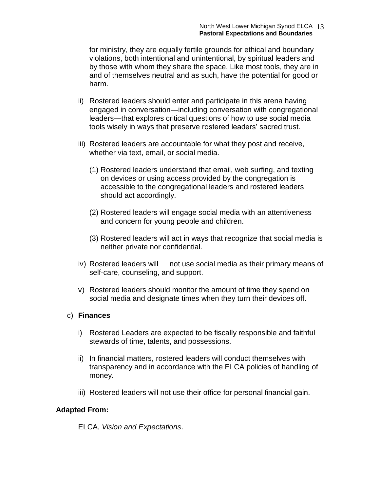for ministry, they are equally fertile grounds for ethical and boundary violations, both intentional and unintentional, by spiritual leaders and by those with whom they share the space. Like most tools, they are in and of themselves neutral and as such, have the potential for good or harm.

- ii) Rostered leaders should enter and participate in this arena having engaged in conversation—including conversation with congregational leaders—that explores critical questions of how to use social media tools wisely in ways that preserve rostered leaders' sacred trust.
- iii) Rostered leaders are accountable for what they post and receive, whether via text, email, or social media.
	- (1) Rostered leaders understand that email, web surfing, and texting on devices or using access provided by the congregation is accessible to the congregational leaders and rostered leaders should act accordingly.
	- (2) Rostered leaders will engage social media with an attentiveness and concern for young people and children.
	- (3) Rostered leaders will act in ways that recognize that social media is neither private nor confidential.
- iv) Rostered leaders will not use social media as their primary means of self-care, counseling, and support.
- v) Rostered leaders should monitor the amount of time they spend on social media and designate times when they turn their devices off.

#### c) **Finances**

- i) Rostered Leaders are expected to be fiscally responsible and faithful stewards of time, talents, and possessions.
- ii) In financial matters, rostered leaders will conduct themselves with transparency and in accordance with the ELCA policies of handling of money.
- iii) Rostered leaders will not use their office for personal financial gain.

## **Adapted From:**

ELCA, *Vision and Expectations*.